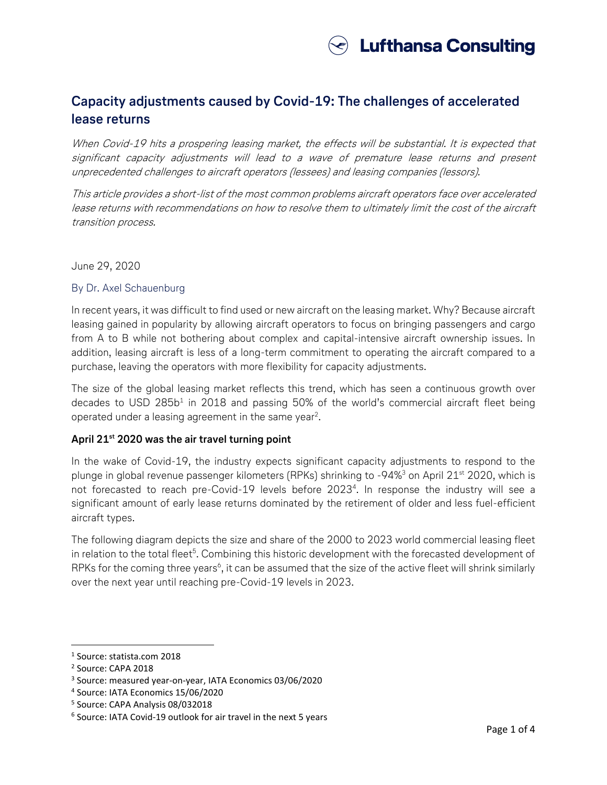

### **Capacity adjustments caused by Covid-19: The challenges of accelerated lease returns**

When Covid-19 hits a prospering leasing market, the effects will be substantial. It is expected that significant capacity adjustments will lead to a wave of premature lease returns and present unprecedented challenges to aircraft operators (lessees) and leasing companies (lessors).

This article provides a short-list of the most common problems aircraft operators face over accelerated lease returns with recommendations on how to resolve them to ultimately limit the cost of the aircraft transition process.

#### June 29, 2020

### By Dr. Axel Schauenburg

In recent years, it was difficult to find used or new aircraft on the leasing market. Why? Because aircraft leasing gained in popularity by allowing aircraft operators to focus on bringing passengers and cargo from A to B while not bothering about complex and capital-intensive aircraft ownership issues. In addition, leasing aircraft is less of a long-term commitment to operating the aircraft compared to a purchase, leaving the operators with more flexibility for capacity adjustments.

The size of the global leasing market reflects this trend, which has seen a continuous growth over decades to USD 285b<sup>1</sup> in 2018 and passing 50% of the world's commercial aircraft fleet being operated under a leasing agreement in the same year<sup>2</sup>.

### **April 21st 2020 was the air travel turning point**

In the wake of Covid-19, the industry expects significant capacity adjustments to respond to the plunge in global revenue passenger kilometers (RPKs) shrinking to  $-94\%$ <sup>3</sup> on April 21<sup>st</sup> 2020, which is not forecasted to reach pre-Covid-19 levels before 2023<sup>4</sup>. In response the industry will see a significant amount of early lease returns dominated by the retirement of older and less fuel-efficient aircraft types.

The following diagram depicts the size and share of the 2000 to 2023 world commercial leasing fleet in relation to the total fleet<sup>5</sup>. Combining this historic development with the forecasted development of RPKs for the coming three years<sup>6</sup>, it can be assumed that the size of the active fleet will shrink similarly over the next year until reaching pre-Covid-19 levels in 2023.

 $\overline{\phantom{a}}$ 

<sup>1</sup> Source: statista.com 2018

<sup>2</sup> Source: CAPA 2018

<sup>3</sup> Source: measured year-on-year, IATA Economics 03/06/2020

<sup>4</sup> Source: IATA Economics 15/06/2020

<sup>5</sup> Source: CAPA Analysis 08/032018

<sup>6</sup> Source: IATA Covid-19 outlook for air travel in the next 5 years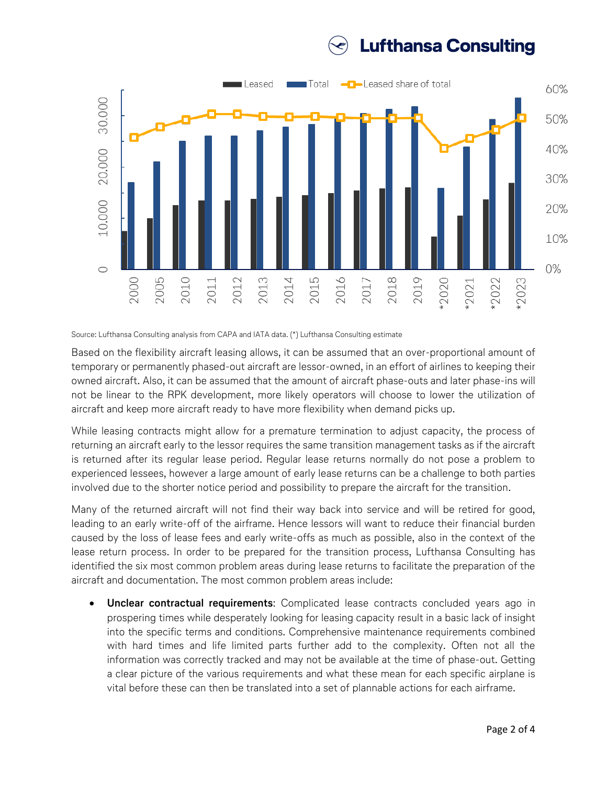### **Lufthansa Consulting**



Source: Lufthansa Consulting analysis from CAPA and IATA data. (\*) Lufthansa Consulting estimate

Based on the flexibility aircraft leasing allows, it can be assumed that an over-proportional amount of temporary or permanently phased-out aircraft are lessor-owned, in an effort of airlines to keeping their owned aircraft. Also, it can be assumed that the amount of aircraft phase-outs and later phase-ins will not be linear to the RPK development, more likely operators will choose to lower the utilization of aircraft and keep more aircraft ready to have more flexibility when demand picks up.

While leasing contracts might allow for a premature termination to adjust capacity, the process of returning an aircraft early to the lessor requires the same transition management tasks as if the aircraft is returned after its regular lease period. Regular lease returns normally do not pose a problem to experienced lessees, however a large amount of early lease returns can be a challenge to both parties involved due to the shorter notice period and possibility to prepare the aircraft for the transition.

Many of the returned aircraft will not find their way back into service and will be retired for good, leading to an early write-off of the airframe. Hence lessors will want to reduce their financial burden caused by the loss of lease fees and early write-offs as much as possible, also in the context of the lease return process. In order to be prepared for the transition process, Lufthansa Consulting has identified the six most common problem areas during lease returns to facilitate the preparation of the aircraft and documentation. The most common problem areas include:

• **Unclear contractual requirements**: Complicated lease contracts concluded years ago in prospering times while desperately looking for leasing capacity result in a basic lack of insight into the specific terms and conditions. Comprehensive maintenance requirements combined with hard times and life limited parts further add to the complexity. Often not all the information was correctly tracked and may not be available at the time of phase-out. Getting a clear picture of the various requirements and what these mean for each specific airplane is vital before these can then be translated into a set of plannable actions for each airframe.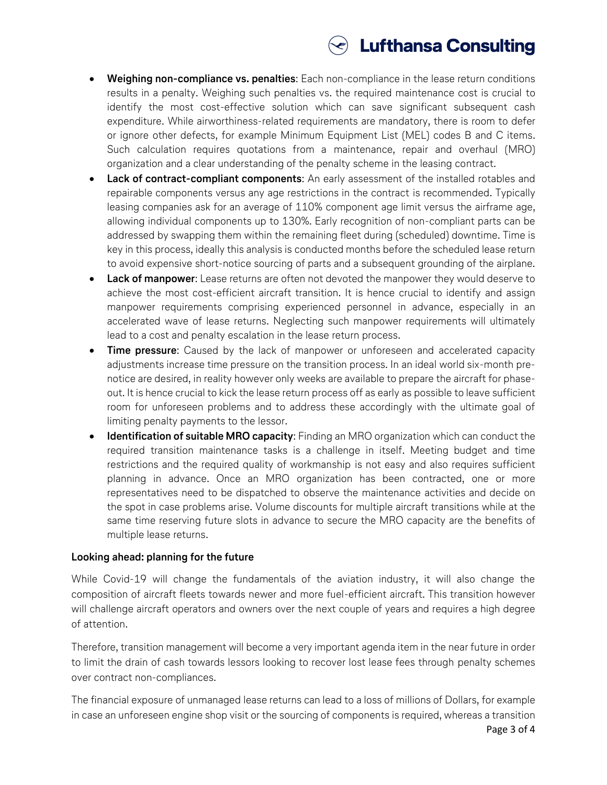# $\odot$  Lufthansa Consulting

- **Weighing non-compliance vs. penalties**: Each non-compliance in the lease return conditions results in a penalty. Weighing such penalties vs. the required maintenance cost is crucial to identify the most cost-effective solution which can save significant subsequent cash expenditure. While airworthiness-related requirements are mandatory, there is room to defer or ignore other defects, for example Minimum Equipment List (MEL) codes B and C items. Such calculation requires quotations from a maintenance, repair and overhaul (MRO) organization and a clear understanding of the penalty scheme in the leasing contract.
- **Lack of contract-compliant components:** An early assessment of the installed rotables and repairable components versus any age restrictions in the contract is recommended. Typically leasing companies ask for an average of 110% component age limit versus the airframe age, allowing individual components up to 130%. Early recognition of non-compliant parts can be addressed by swapping them within the remaining fleet during (scheduled) downtime. Time is key in this process, ideally this analysis is conducted months before the scheduled lease return to avoid expensive short-notice sourcing of parts and a subsequent grounding of the airplane.
- **Lack of manpower**: Lease returns are often not devoted the manpower they would deserve to achieve the most cost-efficient aircraft transition. It is hence crucial to identify and assign manpower requirements comprising experienced personnel in advance, especially in an accelerated wave of lease returns. Neglecting such manpower requirements will ultimately lead to a cost and penalty escalation in the lease return process.
- **Time pressure**: Caused by the lack of manpower or unforeseen and accelerated capacity adjustments increase time pressure on the transition process. In an ideal world six-month prenotice are desired, in reality however only weeks are available to prepare the aircraft for phaseout. It is hence crucial to kick the lease return process off as early as possible to leave sufficient room for unforeseen problems and to address these accordingly with the ultimate goal of limiting penalty payments to the lessor.
- **Identification of suitable MRO capacity**: Finding an MRO organization which can conduct the required transition maintenance tasks is a challenge in itself. Meeting budget and time restrictions and the required quality of workmanship is not easy and also requires sufficient planning in advance. Once an MRO organization has been contracted, one or more representatives need to be dispatched to observe the maintenance activities and decide on the spot in case problems arise. Volume discounts for multiple aircraft transitions while at the same time reserving future slots in advance to secure the MRO capacity are the benefits of multiple lease returns.

#### **Looking ahead: planning for the future**

While Covid-19 will change the fundamentals of the aviation industry, it will also change the composition of aircraft fleets towards newer and more fuel-efficient aircraft. This transition however will challenge aircraft operators and owners over the next couple of years and requires a high degree of attention.

Therefore, transition management will become a very important agenda item in the near future in order to limit the drain of cash towards lessors looking to recover lost lease fees through penalty schemes over contract non-compliances.

The financial exposure of unmanaged lease returns can lead to a loss of millions of Dollars, for example in case an unforeseen engine shop visit or the sourcing of components is required, whereas a transition